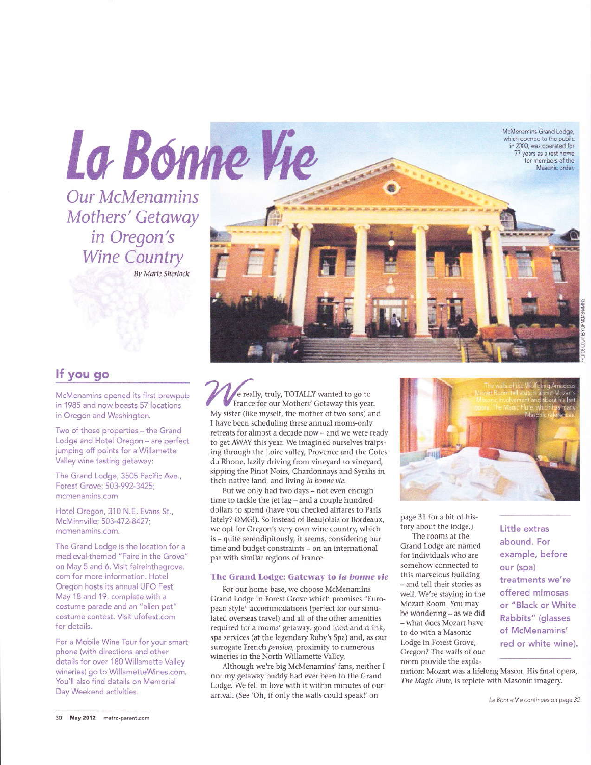**Our McMenamins** Mothers' Getaway in Oregon's **Wine Country** By Marie Sherlock

## If you go

McMenamins opened its first brewpub in 1985 and now boasts 57 locations in Oregon and Washington.

Two of those properties - the Grand Lodge and Hotel Oregon - are perfect jumping off points for a Willamette Valley wine tasting getaway:

The Grand Lodge, 3505 Pacific Ave., Forest Grove; 503-992-3425; mcmenamins.com

Hotel Oregon, 310 N.E. Evans St., McMinnville; 503-472-8427; mcmenamins.com.

The Grand Lodge is the location for a medieval-themed "Faire in the Grove" on May 5 and 6. Visit faireinthegrove. com for more information. Hotel Oregon hosts its annual UFO Fest May 18 and 19, complete with a costume parade and an "alien pet" costume contest. Visit ufofest.com for details.

For a Mobile Wine Tour for your smart phone (with directions and other details for over 180 Willamette Valley wineries) go to WillametteWines.com. You'll also find details on Memorial Day Weekend activities.



e really, truly, TOTALLY wanted to go to France for our Mothers' Getaway this year. My sister (like myself, the mother of two sons) and I have been scheduling these annual moms-only retreats for almost a decade now - and we were ready to get AWAY this year. We imagined ourselves traipsing through the Loire valley, Provence and the Cotes du Rhone, lazily driving from vineyard to vineyard, sipping the Pinot Noirs, Chardonnays and Syrahs in their native land, and living la bonne vie.

But we only had two days - not even enough time to tackle the jet lag - and a couple hundred dollars to spend (have you checked airfares to Paris lately? OMG!). So instead of Beaujolais or Bordeaux, we opt for Oregon's very own wine country, which is - quite serendipitously, it seems, considering our time and budget constraints - on an international par with similar regions of France.

#### The Grand Lodge: Gateway to la bonne vie

For our home base, we choose McMenamins Grand Lodge in Forest Grove which promises "European style" accommodations (perfect for our simulated overseas travel) and all of the other amenities required for a moms' getaway: good food and drink, spa services (at the legendary Ruby's Spa) and, as our surrogate French pension, proximity to numerous wineries in the North Willamette Valley.

Although we're big McMenamins' fans, neither I nor my getaway buddy had ever been to the Grand Lodge. We fell in love with it within minutes of our arrival. (See 'Oh, if only the walls could speak!' on



page 31 for a bit of history about the lodge.)

The rooms at the Grand Lodge are named for individuals who are somehow connected to this marvelous building - and tell their stories as well. We're staying in the Mozart Room. You may be wondering - as we did - what does Mozart have to do with a Masonic Lodge in Forest Grove, Oregon? The walls of our room provide the expla-

nation: Mozart was a lifelong Mason. His final opera, The Magic Flute, is replete with Masonic imagery.

treatments we're offered mimosas or "Black or White Rabbits" (glasses of McMenamins' red or white wine).

Little extras

abound. For

our (spa)

example, before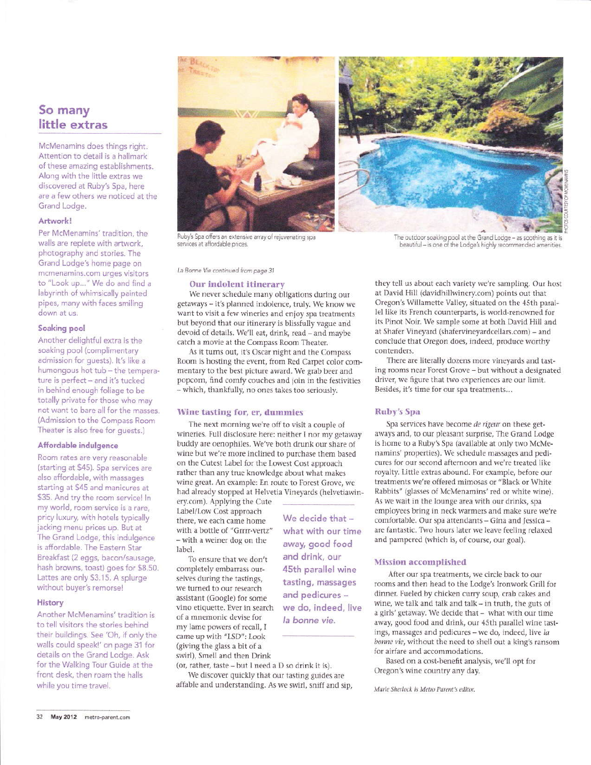### So many little extras

McMenamins does things right. Attention to detail is a hallmark of these amazing establishments. Along with the little extras we discovered at Ruby's Spa, here are a few others we noticed at the Grand Lodge.

#### Artwork!

Per McMenamins' tradition, the walls are replete with artwork. photography and stories. The Grand Lodge's home page on mcmenamins.com urges visitors to "Look up..." We do and find a labyrinth of whimsically painted pipes, many with faces smiling down at us.

#### Soaking pool

Another delightful extra is the soaking pool (complimentary admission for quests). It's like a humongous hot tub - the temperature is perfect - and it's tucked in behind enough foliage to be totally private for those who may not want to bare all for the masses. (Admission to the Compass Room Theater is also free for guests.)

#### Affordable indulgence

Room rates are very reasonable (starting at \$45). Spa services are also affordable, with massages starting at \$45 and manicures at \$35. And try the room service! In my world, room service is a rare, pricy luxury, with hotels typically jacking menu prices up. But at The Grand Lodge, this indulgence is affordable. The Eastern Star Breakfast (2 eggs, bacon/sausage, hash browns, toast) goes for \$8.50. Lattes are only \$3.15. A splurge without buyer's remorse!

#### History

Another McMenamins' tradition is to tell visitors the stories behind their buildings. See 'Oh, if only the walls could speak!' on page 31 for details on the Grand Lodge. Ask for the Walking Tour Guide at the front desk, then roam the halls while you time travel.

Ruby's Spa offers an extensive array of rejuvenating spa services at affordable prices.

#### La Bonne Vie continued from page 31

#### Our indolent itinerary

We never schedule many obligations during our getaways - it's planned indolence, truly. We know we want to visit a few wineries and enjoy spa treatments but beyond that our itinerary is blissfully vague and devoid of details. We'll eat, drink, read - and maybe catch a movie at the Compass Room Theater.

As it turns out, it's Oscar night and the Compass Room is hosting the event, from Red Carpet color commentary to the best picture award. We grab beer and popcorn, find comfy couches and join in the festivities - which, thankfully, no ones takes too seriously.

#### Wine tasting for, er, dummies

The next morning we're off to visit a couple of wineries. Full disclosure here: neither I nor my getaway buddy are oenophiles. We've both drunk our share of wine but we're more inclined to purchase them based on the Cutest Label for the Lowest Cost approach rather than any true knowledge about what makes wine great. An example: En route to Forest Grove, we had already stopped at Helvetia Vineyards (helvetiawin-

ery.com). Applying the Cute Label/Low Cost approach there, we each came home with a bottle of "Grrrr-vertz" - with a weiner dog on the label.

To ensure that we don't completely embarrass ourselves during the tastings, we turned to our research assistant (Google) for some vino etiquette. Ever in search of a mnemonic devise for my lame powers of recall, I came up with "LSD": Look (giving the glass a bit of a swirl), Smell and then Drink

(or, rather, taste - but I need a D so drink it is). We discover quickly that our tasting guides are affable and understanding. As we swirl, sniff and sip,

We decide that what with our time away, good food and drink, our 45th parallel wine tasting, massages and pedicures we do, indeed, live

la bonne vie.

they tell us about each variety we're sampling. Our host at David Hill (davidhillwinery.com) points out that Oregon's Willamette Valley, situated on the 45th parallel like its French counterparts, is world-renowned for its Pinot Noir. We sample some at both David Hill and at Shafer Vineyard (shafervineyardcellars.com) - and conclude that Oregon does, indeed, produce worthy contenders.

beautiful - is one of the Lodge's highly recommended amenities.

There are literally dozens more vinevards and tasting rooms near Forest Grove - but without a designated driver, we figure that two experiences are our limit. Besides, it's time for our spa treatments...

#### **Ruby's Spa**

Spa services have become de rigeur on these getaways and, to our pleasant surprise, The Grand Lodge is home to a Ruby's Spa (available at only two McMenamins' properties). We schedule massages and pedicures for our second afternoon and we're treated like royalty. Little extras abound. For example, before our treatments we're offered mimosas or "Black or White Rabbits" (glasses of McMenamins' red or white wine). As we wait in the lounge area with our drinks, spa employees bring in neck warmers and make sure we're comfortable. Our spa attendants - Gina and Jessica are fantastic. Two hours later we leave feeling relaxed and pampered (which is, of course, our goal).

#### **Mission accomplished**

After our spa treatments, we circle back to our rooms and then head to the Lodge's Ironwork Grill for dinner. Fueled by chicken curry soup, crab cakes and wine, we talk and talk and talk - in truth, the guts of a girls' getaway. We decide that - what with our time away, good food and drink, our 45th parallel wine tastings, massages and pedicures - we do, indeed, live la bonne vie, without the need to shell out a king's ransom for airfare and accommodations.

Based on a cost-benefit analysis, we'll opt for Oregon's wine country any day.

Marie Sherlock is Metro Parent's editor.